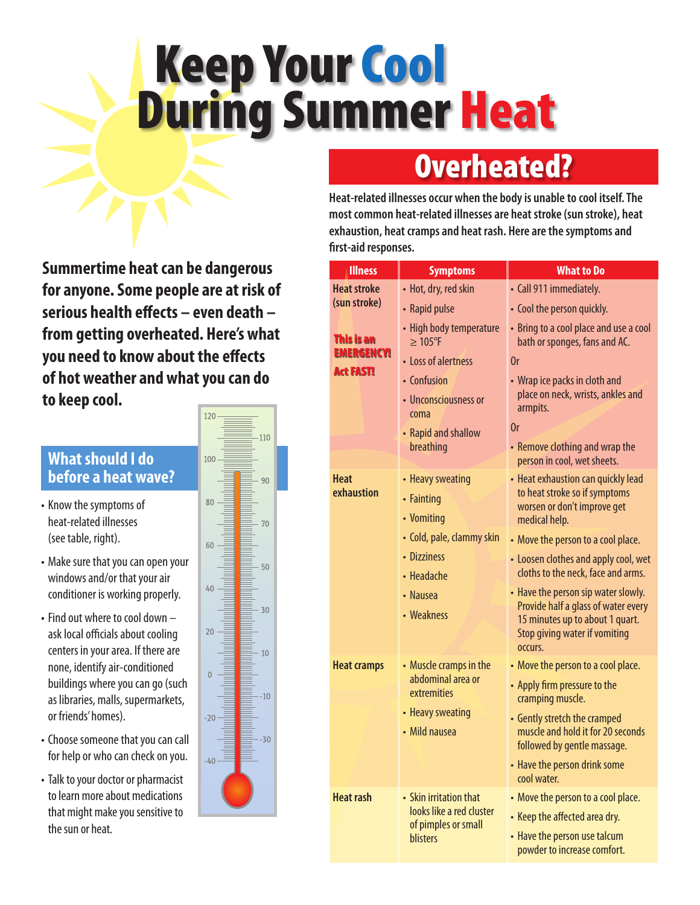# Keep Your Cool During Summer Heat

## Overheated?

**Heat-related illnesses occur when the body is unable to cool itself. The most common heat-related illnesses are heat stroke (sun stroke), heat exhaustion, heat cramps and heat rash. Here are the symptoms and first-aid responses.**

**Summertime heat can be dangerous for anyone. Some people are at risk of serious health effects – even death – from getting overheated. Here's what you need to know about the effects of hot weather and what you can do to keep cool.**

#### **What should I do before a heat wave?**

- Know the symptoms of heat-related illnesses (see table, right).
- Make sure that you can open your windows and/or that your air conditioner is working properly.
- $\cdot$  Find out where to cool down  $$ ask local officials about cooling centers in your area. If there are none, identifyair-conditioned buildings where you can go (such as libraries, malls, supermarkets, or friends'homes).
- Choose someone that you can call for help or who can check on you.
- Talk to your doctor or pharmacist to learn more about medications that might make you sensitive to the sun or heat.



| <b>Illness</b>                                             | <b>Symptoms</b>                                                                                 | <b>What to Do</b>                                                                                                                                         |
|------------------------------------------------------------|-------------------------------------------------------------------------------------------------|-----------------------------------------------------------------------------------------------------------------------------------------------------------|
| <b>Heat stroke</b>                                         | • Hot, dry, red skin                                                                            | • Call 911 immediately.                                                                                                                                   |
| (sun stroke)                                               | • Rapid pulse                                                                                   | • Cool the person quickly.                                                                                                                                |
| <b>This is an</b><br><b>EMERGENCY!</b><br><b>Act FAST!</b> | • High body temperature<br>$\geq 105$ °F                                                        | • Bring to a cool place and use a cool<br>bath or sponges, fans and AC.                                                                                   |
|                                                            | • Loss of alertness                                                                             | 0r                                                                                                                                                        |
|                                                            | • Confusion<br>• Unconsciousness or<br>coma<br>• Rapid and shallow<br>breathing                 | • Wrap ice packs in cloth and<br>place on neck, wrists, ankles and<br>armpits.<br>0r<br>• Remove clothing and wrap the                                    |
|                                                            |                                                                                                 | person in cool, wet sheets.                                                                                                                               |
| <b>Heat</b><br>exhaustion                                  | • Heavy sweating<br>• Fainting<br>• Vomiting                                                    | • Heat exhaustion can quickly lead<br>to heat stroke so if symptoms<br>worsen or don't improve get<br>medical help.                                       |
|                                                            | • Cold, pale, clammy skin                                                                       | • Move the person to a cool place.                                                                                                                        |
|                                                            | • Dizziness<br>• Headache                                                                       | • Loosen clothes and apply cool, wet<br>cloths to the neck, face and arms.                                                                                |
|                                                            | • Nausea<br>• Weakness                                                                          | • Have the person sip water slowly.<br>Provide half a glass of water every<br>15 minutes up to about 1 quart.<br>Stop giving water if vomiting<br>occurs. |
| <b>Heat cramps</b>                                         | • Muscle cramps in the<br>abdominal area or<br>extremities<br>• Heavy sweating<br>• Mild nausea | • Move the person to a cool place.                                                                                                                        |
|                                                            |                                                                                                 | • Apply firm pressure to the<br>cramping muscle.                                                                                                          |
|                                                            |                                                                                                 | • Gently stretch the cramped<br>muscle and hold it for 20 seconds<br>followed by gentle massage.                                                          |
|                                                            |                                                                                                 | • Have the person drink some<br>cool water.                                                                                                               |
| <b>Heat rash</b>                                           | • Skin irritation that<br>looks like a red cluster<br>of pimples or small<br><b>blisters</b>    | • Move the person to a cool place.<br>• Keep the affected area dry.<br>• Have the person use talcum<br>powder to increase comfort.                        |